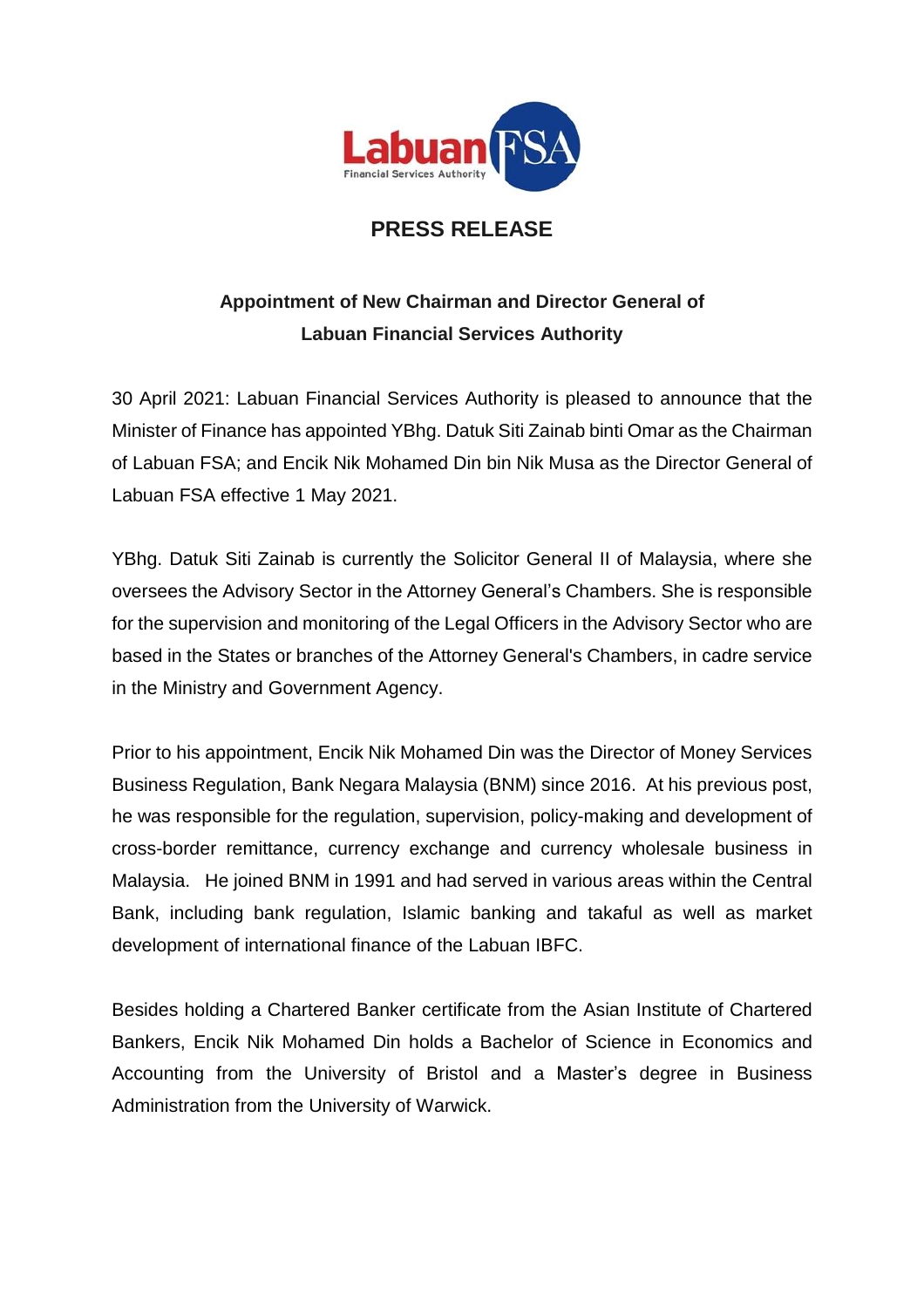

## **PRESS RELEASE**

## **Appointment of New Chairman and Director General of Labuan Financial Services Authority**

30 April 2021: Labuan Financial Services Authority is pleased to announce that the Minister of Finance has appointed YBhg. Datuk Siti Zainab binti Omar as the Chairman of Labuan FSA; and Encik Nik Mohamed Din bin Nik Musa as the Director General of Labuan FSA effective 1 May 2021.

YBhg. Datuk Siti Zainab is currently the Solicitor General II of Malaysia, where she oversees the Advisory Sector in the Attorney General's Chambers. She is responsible for the supervision and monitoring of the Legal Officers in the Advisory Sector who are based in the States or branches of the Attorney General's Chambers, in cadre service in the Ministry and Government Agency.

Prior to his appointment, Encik Nik Mohamed Din was the Director of Money Services Business Regulation, Bank Negara Malaysia (BNM) since 2016. At his previous post, he was responsible for the regulation, supervision, policy-making and development of cross-border remittance, currency exchange and currency wholesale business in Malaysia. He joined BNM in 1991 and had served in various areas within the Central Bank, including bank regulation, Islamic banking and takaful as well as market development of international finance of the Labuan IBFC.

Besides holding a Chartered Banker certificate from the Asian Institute of Chartered Bankers, Encik Nik Mohamed Din holds a Bachelor of Science in Economics and Accounting from the University of Bristol and a Master's degree in Business Administration from the University of Warwick.